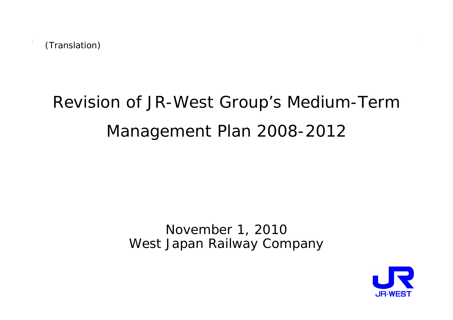# Revision of JR-West Group's Medium-Term Management Plan 2008-2012

### November 1, 2010 West Japan Railway Company

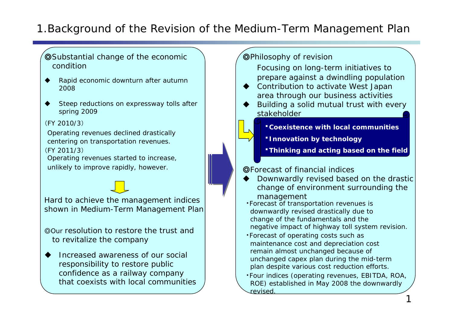### 1.Background of the Revision of the Medium-Term Management Plan

- ◎Substantial change of the economic condition
- ♦ Rapid economic downturn after autumn 2008
- ♦ Steep reductions on expressway tolls after spring 2009

#### (FY 2010/3)

Operating revenues declined drastically centering on transportation revenues. (FY 2011/3)

Operating revenues started to increase, unlikely to improve rapidly, however.

Hard to achieve the management indices shown in Medium-Term Management Plan

◎Our resolution to restore the trust and to revitalize the company

- ♦ Increased awareness of our social responsibility to restore public confidence as a railway company that coexists with local communities
- ◎Philosophy of revision Focusing on long-term initiatives to prepare against a dwindling population  $\bullet$  Contribution to activate West Japan area through our business activities ♦ Building a solid mutual trust with every stakeholder◎Forecast of financial indices ♦ Downwardly revised based on the drastic change of environment surrounding the management ・Forecast of transportation revenues is downwardly revised drastically due to change of the fundamentals and the negative impact of highway toll system revision. ・**Coexistence with local communities**・**Innovation by technology Thinking and acting based on the field** 
	- ・Forecast of operating costs such as maintenance cost and depreciation cost remain almost unchanged because of unchanged capex plan during the mid-term plan despite various cost reduction efforts.
	- ・Four indices (operating revenues, EBITDA, ROA, ROE) established in May 2008 the downwardly revised.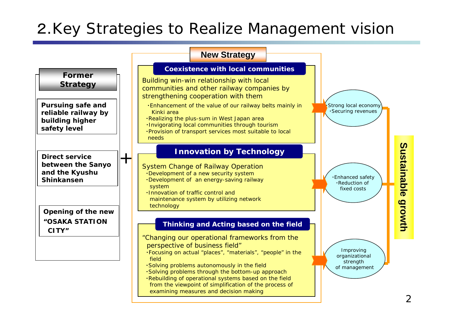# 2.Key Strategies to Realize Management vision

#### **New Strategy**

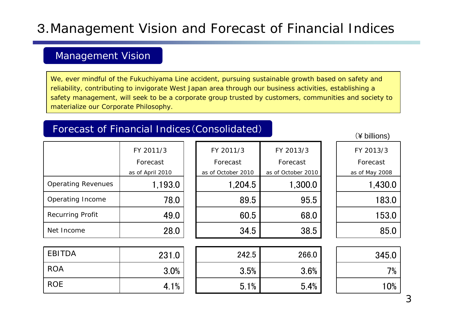# 3.Management Vision and Forecast of Financial Indices

### Management Vision

We, ever mindful of the Fukuchiyama Line accident, pursuing sustainable growth based on safety and reliability, contributing to invigorate West Japan area through our business activities, establishing a safety management, will seek to be a corporate group trusted by customers, communities and society to materialize our Corporate Philosophy.

### Forecast of Financial Indices(Consolidated)

231.0EBITDA | 231.0| | 242.5 | 266.0 | | 345.0 ROA 3.0% $\%$  | | 3.5% | 3.6% | | 7% ROE 4.1% $\%$  | | 5.1% | 5.4% | | 10% Net Income 28.0 34.5 38.5 85.0 Recurring Profit  $\overline{490}$  60.5 68.0 153.0 Operating Income | 78.0 89.5 95.5 183.0 Operating Revenues | 1,193.0 | 1,204.5 | 1,300.0 | 1,430.0 (¥ billions) FY 2011/3 Forecast as of April 2010 FY 2011/3 Forecast as of October 2010 FY 2013/3 Forecast as of May 2008 FY 2013/3 Forecast as of October 2010

3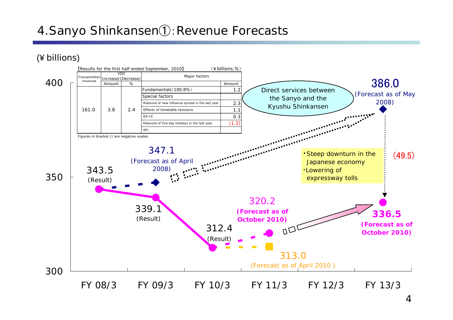## 4.Sanyo Shinkansen①:Revenue Forecasts

(¥ billions)

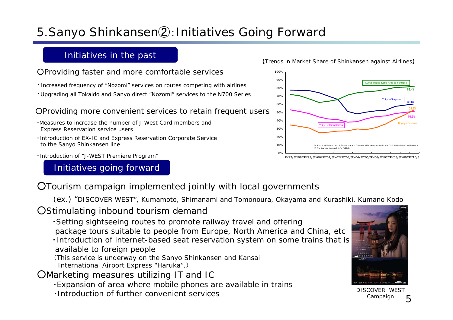# 5.Sanyo Shinkansen②:Initiatives Going Forward

### Initiatives in the past

#### ○Providing faster and more comfortable services

- ・Increased frequency of "Nozomi" services on routes competing with airlines
- ・Upgrading all Tokaido and Sanyo direct "Nozomi" services to the N700 Series

#### ○Providing more convenient services to retain frequent users

- ・Measures to increase the number of J-West Card members and Express Reservation service users
- ・Introduction of EX-IC and Express Reservation Corporate Service to the Sanyo Shinkansen line
- ・Introduction of "J-WEST Premiere Program"

#### Initiatives going forward



- (ex.) "DISCOVER WEST", Kumamoto, Shimanami and Tomonoura, Okayama and Kurashiki, Kumano Kodo
- ○Stimulating inbound tourism demand
	- ・Setting sightseeing routes to promote railway travel and offering package tours suitable to people from Europe, North America and China, etc
	- ・Introduction of internet-based seat reservation system on some trains that is available to foreign people
	- (This service is underway on the Sanyo Shinkansen and Kansai
	- International Airport Express "Haruka".)

○Marketing measures utilizing IT and IC

- ・Expansion of area where mobile phones are available in trains
- ・Introduction of further convenient services





DISCOVER WEST Campaign

#### 【Trends in Market Share of Shinkansen against Airlines】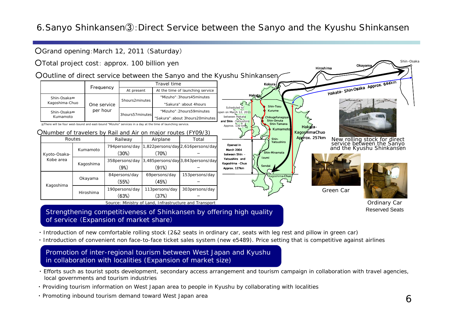### 6.Sanyo Shinkansen③:Direct Service between the Sanyo and the Kyushu Shinkansen

Opened in March 2004 between Shin -Yatsushiro andKagoshima -Chuo Approx. 127km

Scheduled to open on March 12, 20<mark>1</mark>1 between Hakata **and Shin** - Yatsushiro

 $\sqrt{2}$ 

#### ○Grand opening:March 12, 2011 (Saturday)

○Total project cost: approx. 100 billion yen

○Outline of direct service between the Sanyo and the Kyushu Shinkansen

|  |                               |                         | Travel time     |                                  |  |
|--|-------------------------------|-------------------------|-----------------|----------------------------------|--|
|  |                               | Frequency               | At present      | At the time of launching service |  |
|  | Shin-Osaka⇔<br>Kagoshima-Chuo | One service<br>per hour | 5hours2minutes  | "Mizuho": 3hours45minutes        |  |
|  |                               |                         |                 | "Sakura": about 4hours           |  |
|  | Shin-Osaka⇔<br>Kumamoto       |                         | 3hours57minutes | "Mizuho": 2hours59minutes        |  |
|  |                               |                         |                 | "Sakura": about 3hours20minutes  |  |

※There will be four west-bound and east-bound "Mizuho" services in a day at the time of launching service.

○Number of travelers by Rail and Air on major routes (FY09/3)

|              | Routes    | Railway                  | Airplane                | Total                               |  |
|--------------|-----------|--------------------------|-------------------------|-------------------------------------|--|
| Kyoto-Osaka- | Kumamoto  | 794 persons/day<br>(30%) | (70%)                   | 1,822persons/day 2,616persons/day   |  |
| Kobe area    | Kagoshima | 358persons/day<br>(9%)   | (91%)                   | 3,485 persons/day 3,843 persons/day |  |
| Kagoshima    | Okayama   | 84 persons/day<br>(55%)  | 69persons/day<br>(45%)  | 153persons/day                      |  |
|              | Hiroshima | 190persons/day<br>(63%)  | 113persons/day<br>(37%) | 303persons/day                      |  |

Source: Ministry of Land, Infrastructure and Transport

Strengthening competitiveness of Shinkansen by offering high quality of service (Expansion of market share)

・ Introduction of new comfortable rolling stock (2&2 seats in ordinary car, seats with leg rest and pillow in green car)

・ Introduction of convenient non face-to-face ticket sales system (new e5489). Price setting that is competitive against airlines

#### Promotion of inter-regional tourism between West Japan and Kyushu in collaboration with localities (Expansion of market size)

- ・ Efforts such as tourist spots development, secondary access arrangement and tourism campaign in collaboration with travel agencies, local governments and tourism industries
- ・ Providing tourism information on West Japan area to people in Kyushu by collaborating with localities
- ・ Promoting inbound tourism demand toward West Japan area



New rolling stock for direct service between the Sanyo and the Kyushu Shinkansen

Okayam

Shin Osaka

 $\bigotimes_{644km}$ 

Green Car

Kokura<br>Hakata- Shin-Osaka Approx. 644

KagoshimaChuo Approx. 257km

Hiroshima

Kumamoto

Kagoshima-Chuo

Shin-Minam IzumiSendai

Approx. 130 km  $\leftarrow$  Shin-Tamana

Kokura

Shin-Yatsushiro

Shin-Omuta Shin-Tamana**Chikugofunagoy** Kurume

Shin-Tosu

Ordinary Car Reserved Seats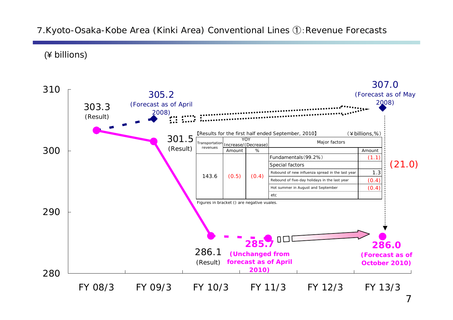### <sup>7</sup>.Kyoto-Osaka-Kobe Area (Kinki Area) Conventional Lines ①:Revenue Forecasts

(¥ billions)



7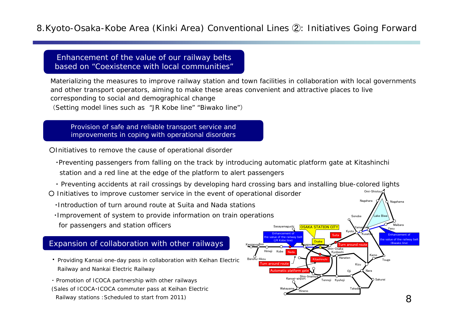### 8.Kyoto-Osaka-Kobe Area (Kinki Area) Conventional Lines ②: Initiatives Going Forward

Enhancement of the value of our railway belts based on "Coexistence with local communities"

Materializing the measures to improve railway station and town facilities in collaboration with local governments and other transport operators, aiming to make these areas convenient and attractive places to live corresponding to social and demographical change (Setting model lines such as "JR Kobe line" "Biwako line")

Provision of safe and reliable transport service and improvements in coping with operational disorders

○Initiatives to remove the cause of operational disorder

・Preventing passengers from falling on the track by introducing automatic platform gate at Kitashinchi station and a red line at the edge of the platform to alert passengers

・ Preventing accidents at rail crossings by developing hard crossing bars and installing blue-colored lights

○ Initiatives to improve customer service in the event of operational disorder

- ・Introduction of turn around route at Suita and Nada stations
- ・Improvement of system to provide information on train operations for passengers and station officers

#### Expansion of collaboration with other railways

・ Providing Kansai one-day pass in collaboration with Keihan Electric Railway and Nankai Electric Railway

・ Promotion of ICOCA partnership with other railways (Sales of ICOCA・ICOCA commuter pass at Keihan Electric Railway stations :Scheduled to start from 2011)



Omi-Shiotsu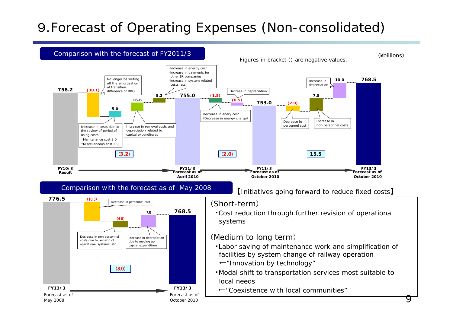# <sup>9</sup>.Forecast of Operating Expenses (Non-consolidated)

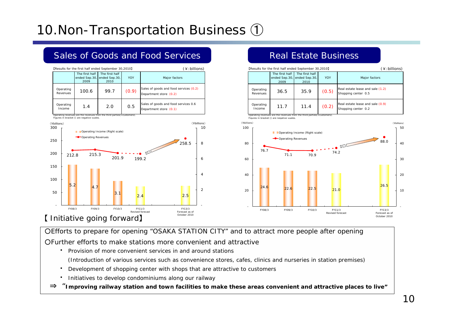# 10.Non-Transportation Business ①



Real Estate Business

### Sales of Goods and Food Services

○Efforts to prepare for opening "OSAKA STATION CITY" and to attract more people after opening

○Further efforts to make stations more convenient and attractive

・ Provision of more convenient services in and around stations

(Introduction of various services such as convenience stores, cafes, clinics and nurseries in station premises)

- ・Development of shopping center with shops that are attractive to customers
- ・Initiatives to develop condominiums along our railway
- ⇒"**Improving railway station and town facilities to make these areas convenient and attractive places to live"**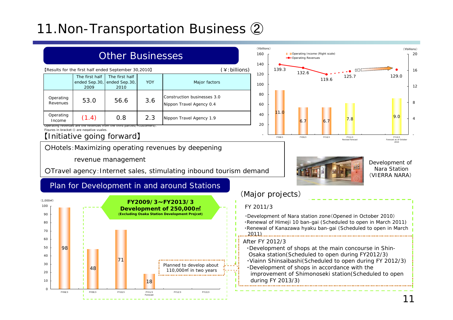# 11.Non-Transportation Business ②

### Other Businesses

| [Results for the first half ended September 30,2010] | (¥:billions)                                                              |                                         |            |                                                         |
|------------------------------------------------------|---------------------------------------------------------------------------|-----------------------------------------|------------|---------------------------------------------------------|
|                                                      | The first half<br>ended Sep.30,<br>2009                                   | The first half<br>ended Sep.30,<br>2010 | <b>YOY</b> | Major factors                                           |
| Operating<br>Revenues                                | 53.0                                                                      | 56.6                                    | 3.6        | Construction businesses 3.0<br>Nippon Travel Agency 0.4 |
| Operating<br>Income                                  | (1.4)                                                                     | 0.8                                     | 2.3        | Nippon Travel Agency 1.9                                |
|                                                      | Operating revenues are the revenues from the third parties (= customers). |                                         |            |                                                         |

Figures in bracket () are negative vuales.

#### 【Initiative going forward】

OHotels: Maximizing operating revenues by deepening

revenue management

○Travel agency:Internet sales, stimulating inbound tourism demand

### Plan for Development in and around Stations





6.7 6.7

FY08/3 FY09/3 FY10/3 FY11/3 Revised forecast

119.6

132.6

**D** Operating Income (Right scale) Operating Revenues

> Development of Nara Station(VIERRA NARA)

FY13/3 Forecast as of October 2010

-

4

8

12

16

20 $(\nexists$ billions)

129.0

 $7.8$  9.0

125.7

### (Major projects)

11.0

139.3

#### FY 2011/3

T Saa **College** 

-

2040

 $(\nexists$ billions)

| Development of Nara station zone (Opened in October 2010)<br>.Renewal of Himeji 10 ban-gai (Scheduled to open in March 2011)<br>·Renewal of Kanazawa hyaku ban-gai (Scheduled to open in March<br>$-2011$                                                                                                               |
|-------------------------------------------------------------------------------------------------------------------------------------------------------------------------------------------------------------------------------------------------------------------------------------------------------------------------|
| After FY 2012/3<br>. Development of shops at the main concourse in Shin-<br>Osaka station(Scheduled to open during FY2012/3)<br>. Viainn Shinsaibashi (Scheduled to open during FY 2012/3)<br>Development of shops in accordance with the<br>improvement of Shimonoseki station (Scheduled to open<br>during FY 2013/3) |
|                                                                                                                                                                                                                                                                                                                         |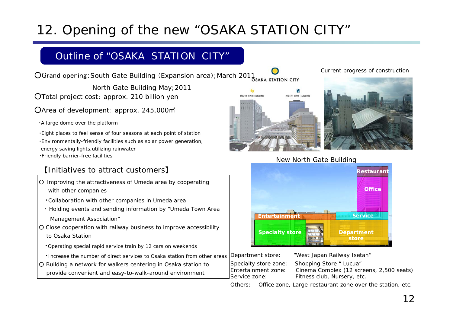# 12. Opening of the new "OSAKA STATION CITY"

### Outline of "OSAKA STATION CITY"

OGrand opening: South Gate Building (Expansion area); March 2011 SARA STATION CITY

○Total project cost: approx. 210 billion yen North Gate Building May;2011

○Area of development: approx. 245,000㎡

・A large dome over the platform

・Eight places to feel sense of four seasons at each point of station ・Environmentally-friendly facilities such as solar power generation, energy saving lights,utilizing rainwater ・Friendly barrier-free facilities

#### 【Initiatives to attract customers】

- Improving the attractiveness of Umeda area by cooperating with other companies
	- ・Collaboration with other companies in Umeda area
	- ・ Holding events and sending information by "Umeda Town Area Management Association"
- Close cooperation with railway business to improve accessibility to Osaka Station

・Operating special rapid service train by 12 cars on weekends

- ・Increase the number of direct services to Osaka station from other areas
- Building a network for walkers centering in Osaka station to provide convenient and easy-to-walk-around environment

Current progress of construction





New North Gate Building



Department store: "West Japan Railway Isetan"

Specialty store zone: Shopping Store " Lucua" Entertainment zone: Cinema Complex (12 screens, 2,500 seats) Service zone: Fitness club, Nursery, etc.

Others: Office zone, Large restaurant zone over the station, etc.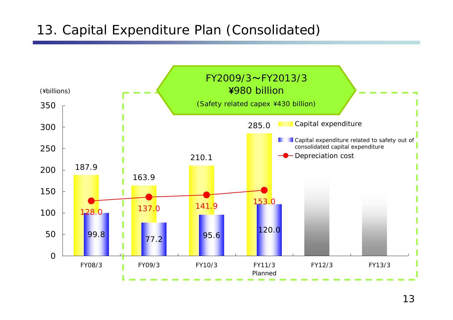# 13. Capital Expenditure Plan (Consolidated)

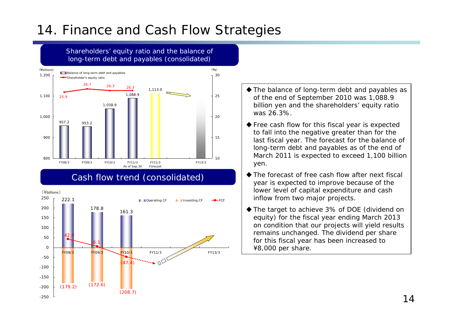# 14. Finance and Cash Flow Strategies



- ◆ The balance of long-term debt and payables as of the end of September 2010 was 1,088.9 billion yen and the shareholders' equity ratio was 26.3%.
- ◆ Free cash flow for this fiscal year is expected to fall into the negative greater than for the last fiscal year. The forecast for the balance of long-term debt and payables as of the end of March 2011 is expected to exceed 1,100 billion yen.
- ◆ The forecast of free cash flow after next fiscal year is expected to improve because of the lower level of capital expenditure and cash inflow from two major projects.
- ◆ The target to achieve 3% of DOE (dividend on equity) for the fiscal year ending March 2013 on condition that our projects will yield results remains unchanged. The dividend per share for this fiscal year has been increased to ¥8,000 per share.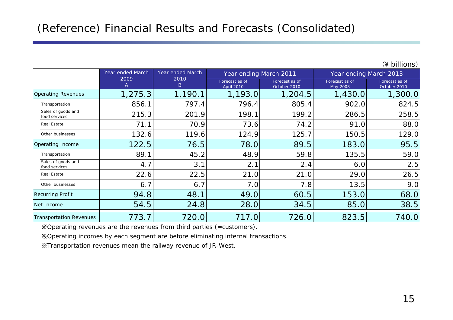|  | (¥ billions) |
|--|--------------|
|  |              |

|                                     | Year ended March | Year ended March | Year ending March 2011              |                                | Year ending March 2013     |                                |
|-------------------------------------|------------------|------------------|-------------------------------------|--------------------------------|----------------------------|--------------------------------|
|                                     | 2009<br>Α        | 2010<br>B        | Forecast as of<br><b>April 2010</b> | Forecast as of<br>October 2010 | Forecast as of<br>May 2008 | Forecast as of<br>October 2010 |
| <b>Operating Revenues</b>           | 1,275.3          | 1,190.1          | 1,193.0                             | 1,204.5                        | 1,430.0                    | 1,300.0                        |
| Transportation                      | 856.1            | 797.4            | 796.4                               | 805.4                          | 902.0                      | 824.5                          |
| Sales of goods and<br>food services | 215.3            | 201.9            | 198.1                               | 199.2                          | 286.5                      | 258.5                          |
| Real Estate                         | 71.1             | 70.9             | 73.6                                | 74.2                           | 91.0                       | 88.0                           |
| Other businesses                    | 132.6            | 119.6            | 124.9                               | 125.7                          | 150.5                      | 129.0                          |
| Operating Income                    | 122.5            | 76.5             | 78.0                                | 89.5                           | 183.0                      | 95.5                           |
| Transportation                      | 89.1             | 45.2             | 48.9                                | 59.8                           | 135.5                      | 59.0                           |
| Sales of goods and<br>food services | 4.7              | 3.1              | 2.1                                 | 2.4                            | 6.0                        | 2.5                            |
| <b>Real Estate</b>                  | 22.6             | 22.5             | 21.0                                | 21.0                           | 29.0                       | 26.5                           |
| Other businesses                    | 6.7              | 6.7              | 7.0                                 | 7.8                            | 13.5                       | 9.0                            |
| <b>Recurring Profit</b>             | 94.8             | 48.1             | 49.0                                | 60.5                           | 153.0                      | 68.0                           |
| Net Income                          | 54.5             | 24.8             | 28.0                                | 34.5                           | 85.0                       | 38.5                           |
| <b>Transportation Revenues</b>      | 773.7            | 720.0            | 717.0                               | 726.0                          | 823.5                      | 740.0                          |

※Operating revenues are the revenues from third parties (=customers).

※Operating incomes by each segment are before eliminating internal transactions.

※Transportation revenues mean the railway revenue of JR-West.